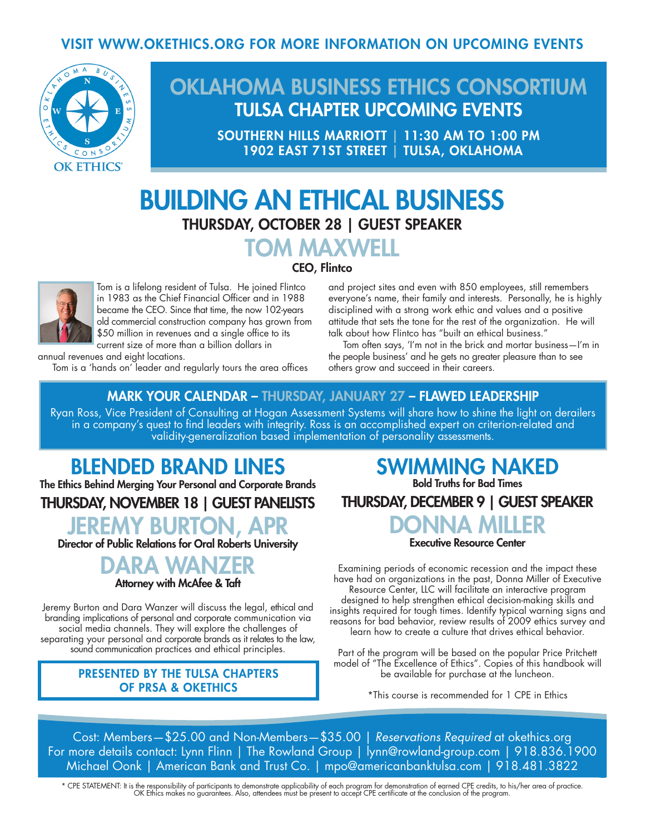### VISIT WWW.OKETHICS.ORG FOR MORE INFORMATION ON UPCOMING EVENTS



## OKLAHOMA BUSINESS ETHICS CONSORTIUM TULSA CHAPTER UPCOMING EVENTS

SOUTHERN HILLS MARRIOTT | 11:30 AM TO 1:00 PM 1902 EAST 71ST STREET | TULSA, OKLAHOMA

# BUILDING AN ETHICAL BUSINESS THURSDAY, OCTOBER 28 | GUEST SPEAKER

### TOM MAXWELL CEO, Flintco



Tom is a lifelong resident of Tulsa. He joined Flintco in 1983 as the Chief Financial Officer and in 1988 became the CEO. Since that time, the now 102-years old commercial construction company has grown from \$50 million in revenues and a single office to its current size of more than a billion dollars in

and project sites and even with 850 employees, still remembers everyone's name, their family and interests. Personally, he is highly disciplined with a strong work ethic and values and a positive attitude that sets the tone for the rest of the organization. He will talk about how Flintco has "built an ethical business."

 Tom often says, 'I'm not in the brick and mortar business—I'm in the people business' and he gets no greater pleasure than to see others grow and succeed in their careers.

#### annual revenues and eight locations.

Tom is a 'hands on' leader and regularly tours the area offices

#### MARK YOUR CALENDAR – THURSDAY, JANUARY 27 – FLAWED LEADERSHIP

Ryan Ross, Vice President of Consulting at Hogan Assessment Systems will share how to shine the light on derailers in a company's quest to find leaders with integrity. Ross is an accomplished expert on criterion-related and validity-generalization based implementation of personality assessments.

## BLENDED BRAND LINES

The Ethics Behind Merging Your Personal and Corporate Brands

## THURSDAY, NOVEMBER 18 | GUEST PANELISTS

## JEREMY BURTON, APR

Director of Public Relations for Oral Roberts University



Attorney with McAfee & Taft

Jeremy Burton and Dara Wanzer will discuss the legal, ethical and branding implications of personal and corporate communication via social media channels. They will explore the challenges of separating your personal and corporate brands as it relates to the law, sound communication practices and ethical principles.

#### PRESENTED BY THE TULSA CHAPTERS OF PRSA & OKETHICS

## SWIMMING NAKED Bold Truths for Bad Times

THURSDAY, DECEMBER 9 | GUEST SPEAKER



Executive Resource Center

Examining periods of economic recession and the impact these have had on organizations in the past, Donna Miller of Executive Resource Center, LLC will facilitate an interactive program designed to help strengthen ethical decision-making skills and insights required for tough times. Identify typical warning signs and reasons for bad behavior, review results of 2009 ethics survey and learn how to create a culture that drives ethical behavior.

Part of the program will be based on the popular Price Pritchett model of "The Excellence of Ethics". Copies of this handbook will be available for purchase at the luncheon.

\*This course is recommended for 1 CPE in Ethics

Cost: Members—\$25.00 and Non-Members—\$35.00 | *Reservations Required* at okethics.org For more details contact: Lynn Flinn | The Rowland Group | lynn@rowland-group.com | 918.836.1900 Michael Oonk | American Bank and Trust Co. | mpo@americanbanktulsa.com | 918.481.3822

\* CPE STATEMENT: It is the responsibility of participants to demonstrate applicability of each program for demonstration of earned CPE credits, to his/her area of practice.<br>OK Ethics makes no guarantees. Also, attendees mu